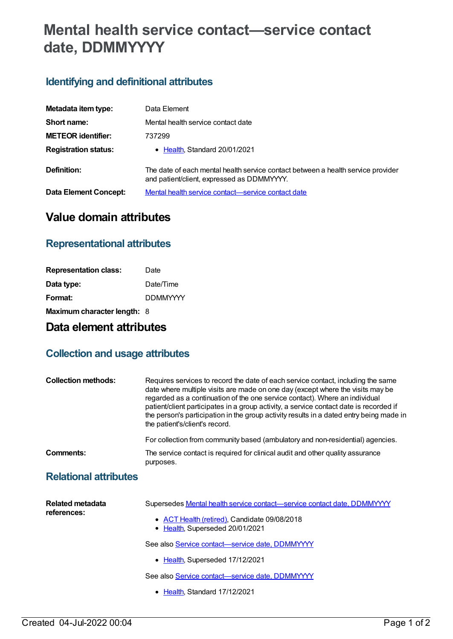# **Mental health service contact—service contact date, DDMMYYYY**

### **Identifying and definitional attributes**

| Metadata item type:         | Data Element                                                                                                                   |
|-----------------------------|--------------------------------------------------------------------------------------------------------------------------------|
| Short name:                 | Mental health service contact date                                                                                             |
| <b>METEOR identifier:</b>   | 737299                                                                                                                         |
| <b>Registration status:</b> | • Health, Standard 20/01/2021                                                                                                  |
| Definition:                 | The date of each mental health service contact between a health service provider<br>and patient/client, expressed as DDMMYYYY. |
| Data Element Concept:       | Mental health service contact—service contact date                                                                             |

## **Value domain attributes**

#### **Representational attributes**

| <b>Representation class:</b> | Date            |
|------------------------------|-----------------|
| Data type:                   | Date/Time       |
| Format:                      | <b>DDMMYYYY</b> |
| Maximum character length: 8  |                 |

## **Data element attributes**

#### **Collection and usage attributes**

| <b>Collection methods:</b>   | Requires services to record the date of each service contact, including the same<br>date where multiple visits are made on one day (except where the visits may be<br>regarded as a continuation of the one service contact). Where an individual<br>patient/client participates in a group activity, a service contact date is recorded if<br>the person's participation in the group activity results in a dated entry being made in<br>the patient's/client's record. |
|------------------------------|--------------------------------------------------------------------------------------------------------------------------------------------------------------------------------------------------------------------------------------------------------------------------------------------------------------------------------------------------------------------------------------------------------------------------------------------------------------------------|
|                              | For collection from community based (ambulatory and non-residential) agencies.                                                                                                                                                                                                                                                                                                                                                                                           |
| Comments:                    | The service contact is required for clinical audit and other quality assurance<br>purposes.                                                                                                                                                                                                                                                                                                                                                                              |
| <b>Relational attributes</b> |                                                                                                                                                                                                                                                                                                                                                                                                                                                                          |

| <b>Related metadata</b><br>references: | Supersedes Mental health service contact—service contact date, DDMMYYYY         |
|----------------------------------------|---------------------------------------------------------------------------------|
|                                        | • ACT Health (retired), Candidate 09/08/2018<br>• Health, Superseded 20/01/2021 |
|                                        | See also Service contact-service date, DDMMYYYY                                 |
|                                        | • Health, Superseded 17/12/2021                                                 |
|                                        | See also Service contact-service date, DDMMYYYY                                 |
|                                        |                                                                                 |

• [Health](https://meteor.aihw.gov.au/RegistrationAuthority/12), Standard 17/12/2021